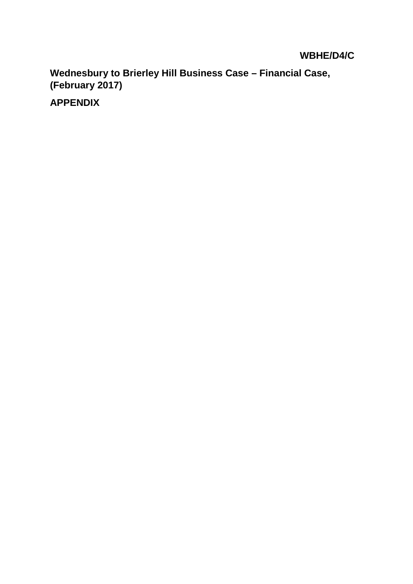## **WBHE/D4/C**

**Wednesbury to Brierley Hill Business Case – Financial Case, (February 2017)**

**APPENDIX**